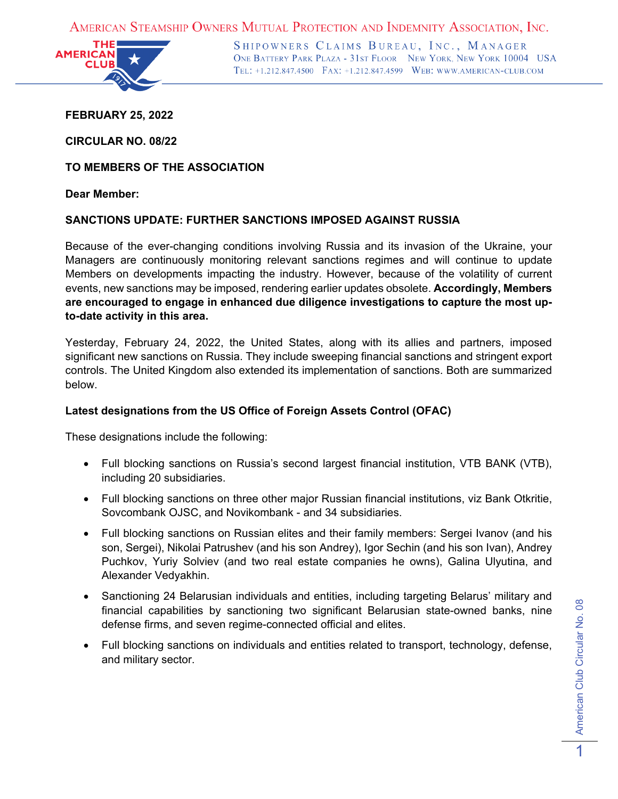AMERICAN STEAMSHIP OWNERS MUTUAL PROTECTION AND INDEMNITY ASSOCIATION, INC.



SHIPOWNERS CLAIMS BUREAU, INC., MANAGER ONE BATTERY PARK PLAZA - 31ST FLOOR NEW YORK, NEW YORK 10004 USA TEL: +1.212.847.4500 FAX: +1.212.847.4599 WEB: WWW.AMERICAN-CLUB.COM

**FEBRUARY 25, 2022**

**CIRCULAR NO. 08/22**

**TO MEMBERS OF THE ASSOCIATION**

**Dear Member:**

# **SANCTIONS UPDATE: FURTHER SANCTIONS IMPOSED AGAINST RUSSIA**

Because of the ever-changing conditions involving Russia and its invasion of the Ukraine, your Managers are continuously monitoring relevant sanctions regimes and will continue to update Members on developments impacting the industry. However, because of the volatility of current events, new sanctions may be imposed, rendering earlier updates obsolete. **Accordingly, Members are encouraged to engage in enhanced due diligence investigations to capture the most upto-date activity in this area.**

Yesterday, February 24, 2022, the United States, along with its allies and partners, imposed significant new sanctions on Russia. They include sweeping financial sanctions and stringent export controls. The United Kingdom also extended its implementation of sanctions. Both are summarized below.

# **Latest designations from the US Office of Foreign Assets Control (OFAC)**

These designations include the following:

- Full blocking sanctions on Russia's second largest financial institution, VTB BANK (VTB), including 20 subsidiaries.
- Full blocking sanctions on three other major Russian financial institutions, viz Bank Otkritie, Sovcombank OJSC, and Novikombank - and 34 subsidiaries.
- Full blocking sanctions on Russian elites and their family members: Sergei Ivanov (and his son, Sergei), Nikolai Patrushev (and his son Andrey), Igor Sechin (and his son Ivan), Andrey Puchkov, Yuriy Solviev (and two real estate companies he owns), Galina Ulyutina, and Alexander Vedyakhin.
- Sanctioning 24 Belarusian individuals and entities, including targeting Belarus' military and financial capabilities by sanctioning two significant Belarusian state-owned banks, nine defense firms, and seven regime-connected official and elites.
- Full blocking sanctions on individuals and entities related to transport, technology, defense, and military sector.